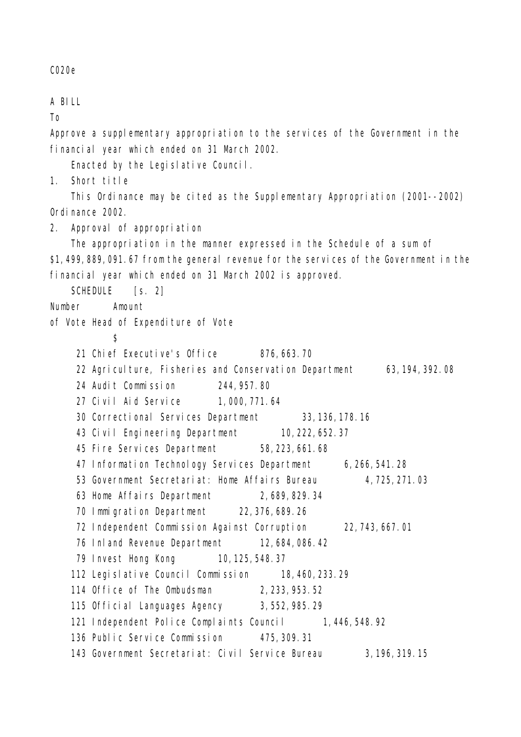C020e

A BILL

To

Approve a supplementary appropriation to the services of the Government in the financial year which ended on 31 March 2002.

Enacted by the Legislative Council.

1. Short title

This Ordinance may be cited as the Supplementary Appropriation (2001--2002) Ordinance 2002.

2. Approval of appropriation

The appropriation in the manner expressed in the Schedule of a sum of \$1,499,889,091.67 from the general revenue for the services of the Government in the financial year which ended on 31 March 2002 is approved.

SCHEDULE [s. 2]

Number Amount

- of Vote Head of Expenditure of Vote
	- \$
	- 21 Chief Executive's Office 876,663.70
	- 22 Agriculture, Fisheries and Conservation Department 63,194,392.08
	- 24 Audit Commission 244,957.80
	- 27 Civil Aid Service 1,000,771.64
	- 30 Correctional Services Department 33,136,178.16
	- 43 Civil Engineering Department 10,222,652.37
	- 45 Fire Services Department 58,223,661.68
	- 47 Information Technology Services Department 6,266,541.28
	- 53 Government Secretariat: Home Affairs Bureau 4,725,271.03
	- 63 Home Affairs Department 2,689,829.34
	- 70 Immigration Department 22,376,689.26
	- 72 Independent Commission Against Corruption 22,743,667.01
	- 76 Inland Revenue Department 12,684,086.42
	- 79 Invest Hong Kong 10, 125, 548.37
	- 112 Legislative Council Commission 18,460, 233.29
	- 114 Office of The Ombudsman 2,233,953.52
	- 115 Official Languages Agency 3,552,985.29
	- 121 Independent Police Complaints Council 1,446,548.92
	- 136 Public Service Commission 475,309.31
	- 143 Government Secretariat: Civil Service Bureau 3,196,319.15